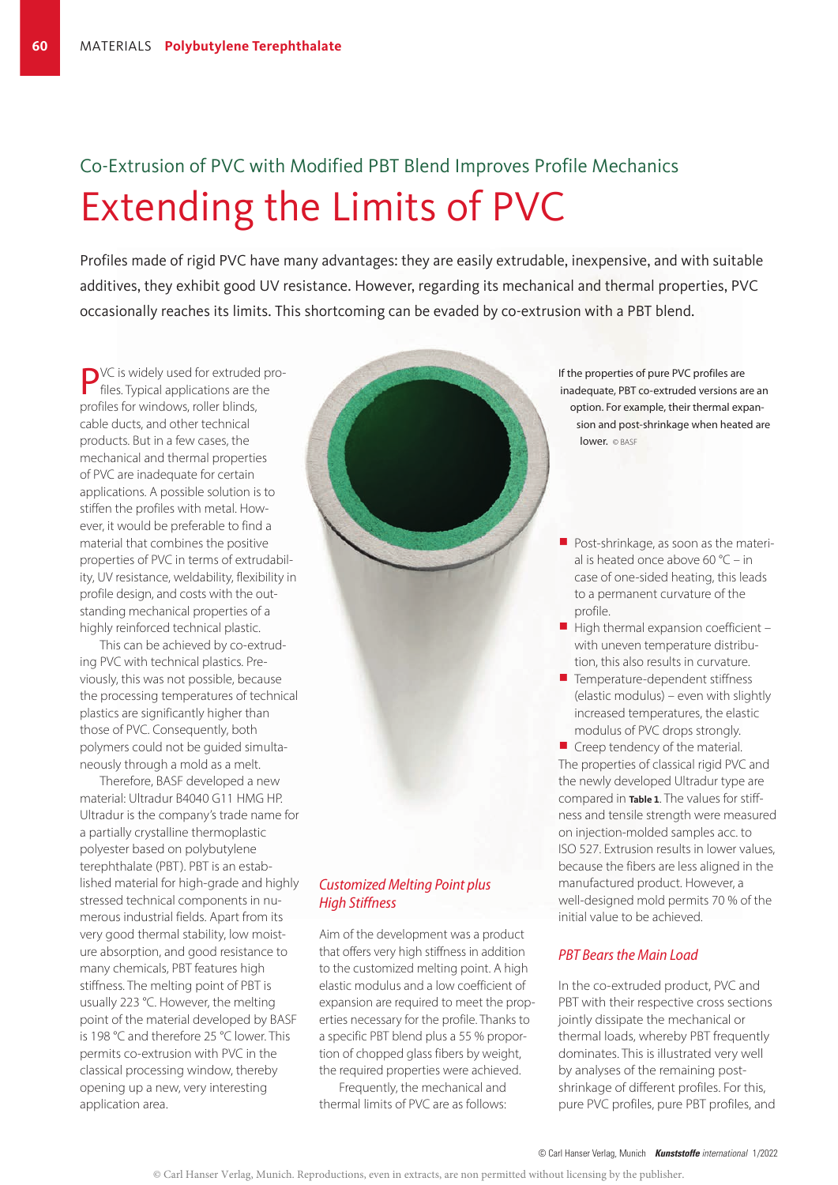# Co-Extrusion of PVC with Modified PBT Blend Improves Profile Mechanics Extending the Limits of PVC

Profiles made of rigid PVC have many advantages: they are easily extrudable, inexpensive, and with suitable additives, they exhibit good UV resistance. However, regarding its mechanical and thermal properties, PVC occasionally reaches its limits. This shortcoming can be evaded by co-extrusion with a PBT blend.

**P**VC is widely used for extruded profiles. Typical applications are the profiles for windows, roller blinds, cable ducts, and other technical products. But in a few cases, the mechanical and thermal properties of PVC are inadequate for certain applications. A possible solution is to stiffen the profiles with metal. However, it would be preferable to find a material that combines the positive properties of PVC in terms of extrudability, UV resistance, weldability, flexibility in profile design, and costs with the outstanding mechanical properties of a highly reinforced technical plastic.

This can be achieved by co-extruding PVC with technical plastics. Previously, this was not possible, because the processing temperatures of technical plastics are significantly higher than those of PVC. Consequently, both polymers could not be guided simultaneously through a mold as a melt.

Therefore, BASF developed a new material: Ultradur B4040 G11 HMG HP. Ultradur is the company's trade name for a partially crystalline thermoplastic polyester based on polybutylene terephthalate (PBT). PBT is an established material for high-grade and highly stressed technical components in numerous industrial fields. Apart from its very good thermal stability, low moisture absorption, and good resistance to many chemicals, PBT features high stiffness. The melting point of PBT is usually 223 °C. However, the melting point of the material developed by BASF is 198 °C and therefore 25 °C lower. This permits co-extrusion with PVC in the classical processing window, thereby opening up a new, very interesting application area.

# *Customized Melting Point plus High Stiffness*

Aim of the development was a product that offers very high stiffness in addition to the customized melting point. A high elastic modulus and a low coefficient of expansion are required to meet the properties necessary for the profile. Thanks to a specific PBT blend plus a 55 % proportion of chopped glass fibers by weight, the required properties were achieved.

Frequently, the mechanical and thermal limits of PVC are as follows: If the properties of pure PVC profiles are inadequate, PBT co-extruded versions are an option. For example, their thermal expansion and post-shrinkage when heated are lower. © BASF

- $\blacksquare$  Post-shrinkage, as soon as the material is heated once above 60 °C – in case of one-sided heating, this leads to a permanent curvature of the profile.
- $\blacksquare$  High thermal expansion coefficient with uneven temperature distribution, this also results in curvature.
- $\blacksquare$  Temperature-dependent stiffness (elastic modulus) – even with slightly increased temperatures, the elastic modulus of PVC drops strongly.

 $\blacksquare$  Creep tendency of the material. The properties of classical rigid PVC and the newly developed Ultradur type are compared in **Table 1**. The values for stiffness and tensile strength were measured on injection-molded samples acc. to ISO 527. Extrusion results in lower values, because the fibers are less aligned in the manufactured product. However, a well-designed mold permits 70 % of the initial value to be achieved.

## *PBT Bears the Main Load*

In the co-extruded product, PVC and PBT with their respective cross sections jointly dissipate the mechanical or thermal loads, whereby PBT frequently dominates. This is illustrated very well by analyses of the remaining postshrinkage of different profiles. For this, pure PVC profiles, pure PBT profiles, and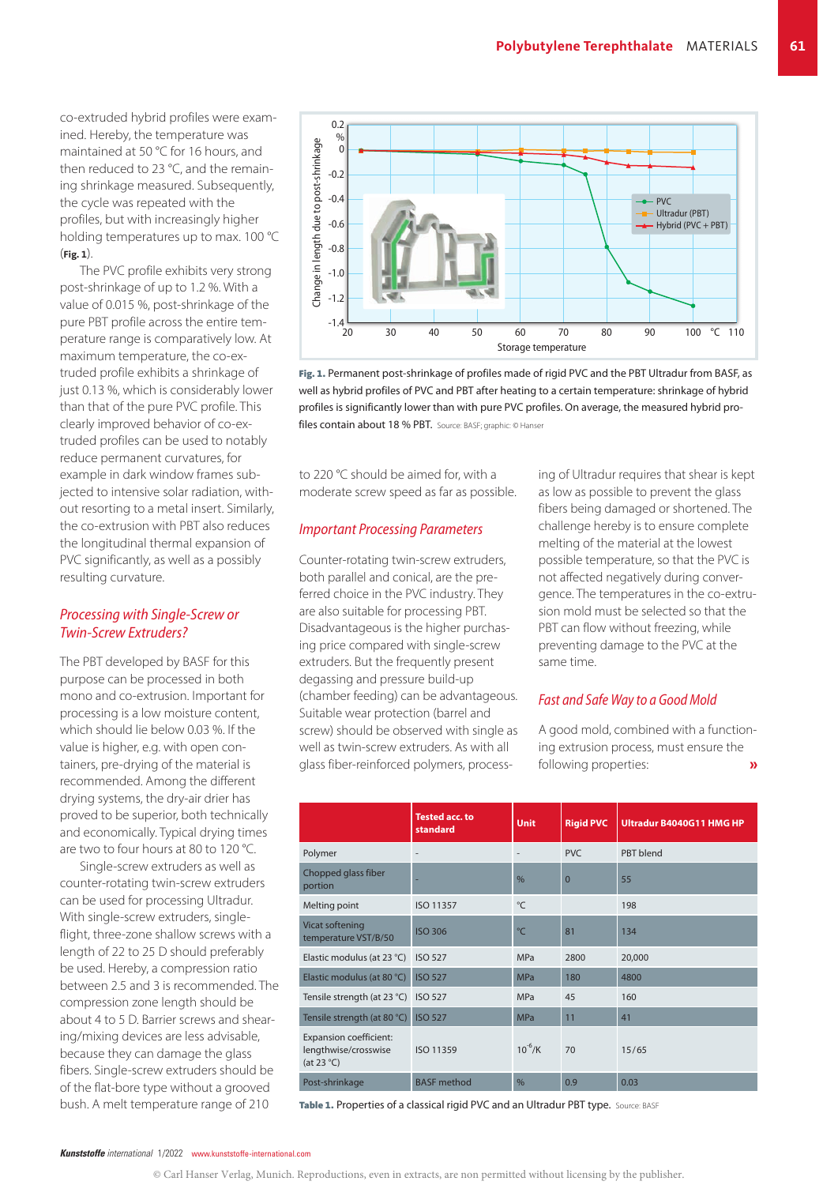co-extruded hybrid profiles were examined. Hereby, the temperature was maintained at 50 °C for 16 hours, and then reduced to 23 °C, and the remaining shrinkage measured. Subsequently, the cycle was repeated with the profiles, but with increasingly higher holding temperatures up to max. 100 °C (**Fig. 1**).

The PVC profile exhibits very strong post-shrinkage of up to 1.2 %. With a value of 0.015 %, post-shrinkage of the pure PBT profile across the entire temperature range is comparatively low. At maximum temperature, the co-extruded profile exhibits a shrinkage of just 0.13 %, which is considerably lower than that of the pure PVC profile. This clearly improved behavior of co-extruded profiles can be used to notably reduce permanent curvatures, for example in dark window frames subjected to intensive solar radiation, without resorting to a metal insert. Similarly, the co-extrusion with PBT also reduces the longitudinal thermal expansion of PVC significantly, as well as a possibly resulting curvature.

# *Processing with Single-Screw or Twin-Screw Extruders?*

The PBT developed by BASF for this purpose can be processed in both mono and co-extrusion. Important for processing is a low moisture content, which should lie below 0.03 %. If the value is higher, e.g. with open containers, pre-drying of the material is recommended. Among the different drying systems, the dry-air drier has proved to be superior, both technically and economically. Typical drying times are two to four hours at 80 to 120 °C.

Single-screw extruders as well as counter-rotating twin-screw extruders can be used for processing Ultradur. With single-screw extruders, singleflight, three-zone shallow screws with a length of 22 to 25 D should preferably be used. Hereby, a compression ratio between 2.5 and 3 is recommended. The compression zone length should be about 4 to 5 D. Barrier screws and shearing/mixing devices are less advisable, because they can damage the glass fibers. Single-screw extruders should be of the flat-bore type without a grooved bush. A melt temperature range of 210



Fig. 1. Permanent post-shrinkage of profiles made of rigid PVC and the PBT Ultradur from BASF, as well as hybrid profiles of PVC and PBT after heating to a certain temperature: shrinkage of hybrid profiles is significantly lower than with pure PVC profiles. On average, the measured hybrid profiles contain about 18 % PBT. Source: BASF; graphic: © Hanser

to 220 °C should be aimed for, with a moderate screw speed as far as possible.

### *Important Processing Parameters*

Counter-rotating twin-screw extruders, both parallel and conical, are the preferred choice in the PVC industry. They are also suitable for processing PBT. Disadvantageous is the higher purchasing price compared with single-screw extruders. But the frequently present degassing and pressure build-up (chamber feeding) can be advantageous. Suitable wear protection (barrel and screw) should be observed with single as well as twin-screw extruders. As with all glass fiber-reinforced polymers, processing of Ultradur requires that shear is kept as low as possible to prevent the glass fibers being damaged or shortened. The challenge hereby is to ensure complete melting of the material at the lowest possible temperature, so that the PVC is not affected negatively during convergence. The temperatures in the co-extrusion mold must be selected so that the PBT can flow without freezing, while preventing damage to the PVC at the same time.

#### *Fast and Safe Way to a Good Mold*

A good mold, combined with a functioning extrusion process, must ensure the following properties: »

|                                                                              | <b>Tested acc. to</b><br>standard | <b>Unit</b>   | <b>Rigid PVC</b> | Ultradur B4040G11 HMG HP |
|------------------------------------------------------------------------------|-----------------------------------|---------------|------------------|--------------------------|
| Polymer                                                                      |                                   |               | <b>PVC</b>       | PBT blend                |
| Chopped glass fiber<br>portion                                               |                                   | $\frac{0}{0}$ | $\overline{0}$   | 55                       |
| Melting point                                                                | ISO 11357                         | °C            |                  | 198                      |
| Vicat softening<br>temperature VST/B/50                                      | <b>ISO 306</b>                    | °C            | 81               | 134                      |
| Elastic modulus (at 23 °C)                                                   | <b>ISO 527</b>                    | <b>MPa</b>    | 2800             | 20,000                   |
| Elastic modulus (at 80 °C)                                                   | <b>ISO 527</b>                    | <b>MPa</b>    | 180              | 4800                     |
| Tensile strength (at 23 °C)                                                  | <b>ISO 527</b>                    | <b>MPa</b>    | 45               | 160                      |
| Tensile strength (at 80 °C)                                                  | <b>ISO 527</b>                    | <b>MPa</b>    | 11               | 41                       |
| <b>Expansion coefficient:</b><br>lengthwise/crosswise<br>(at $23^{\circ}$ C) | ISO 11359                         | $10^{-6}$ /K  | 70               | 15/65                    |
| Post-shrinkage                                                               | <b>BASF</b> method                | $\frac{0}{0}$ | 0.9              | 0.03                     |

Table 1. Properties of a classical rigid PVC and an Ultradur PBT type. Source: BASF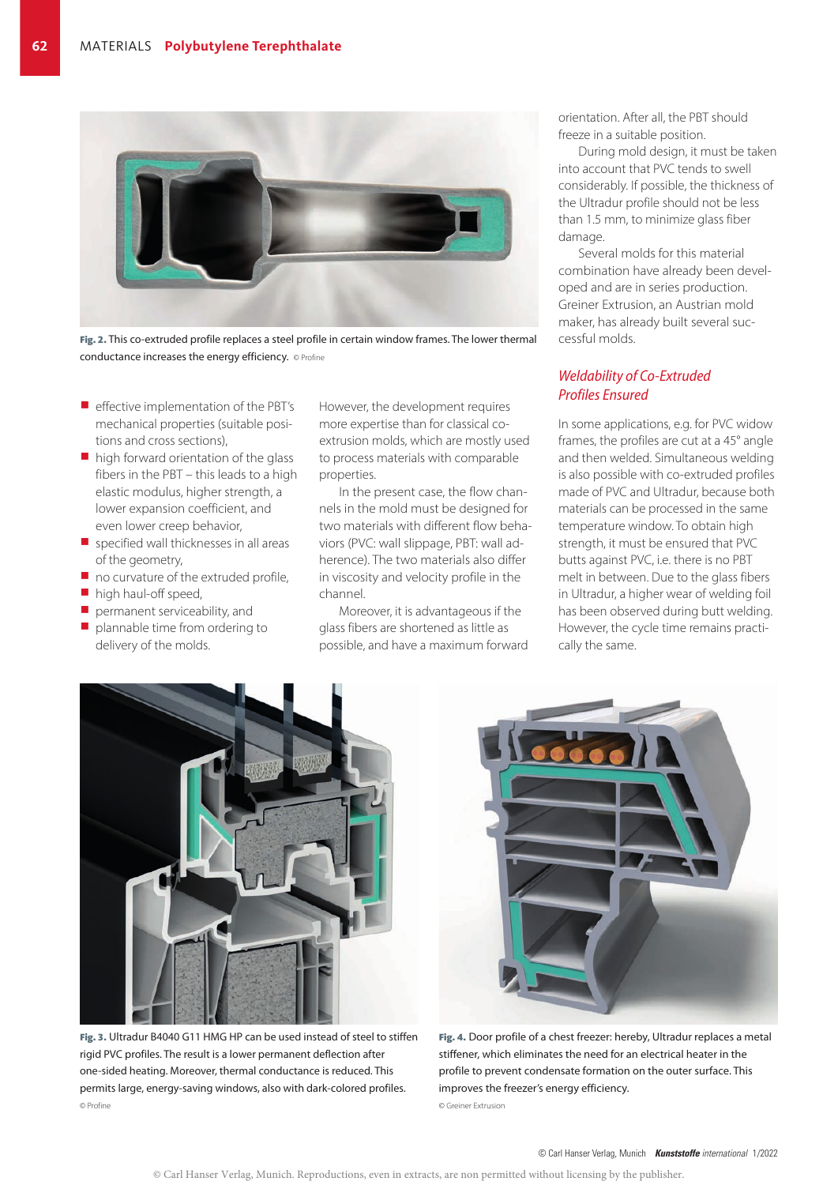

Fig. 2. This co-extruded profile replaces a steel profile in certain window frames. The lower thermal conductance increases the energy efficiency. © Profine

- $\blacksquare$  effective implementation of the PBT's mechanical properties (suitable positions and cross sections),
- $\blacksquare$  high forward orientation of the glass fibers in the PBT – this leads to a high elastic modulus, higher strength, a lower expansion coefficient, and even lower creep behavior,
- $\blacksquare$  specified wall thicknesses in all areas of the geometry,
- $\blacksquare$  no curvature of the extruded profile,
- $\blacksquare$  high haul-off speed,
- $\blacksquare$  permanent serviceability, and
- $\blacksquare$  plannable time from ordering to delivery of the molds.

However, the development requires more expertise than for classical co extrusion molds, which are mostly used to process materials with comparable properties.

In the present case, the flow channels in the mold must be designed for two materials with different flow behaviors (PVC: wall slippage, PBT: wall adherence). The two materials also differ in viscosity and velocity profile in the channel.

Moreover, it is advantageous if the glass fibers are shortened as little as possible, and have a maximum forward orientation. After all, the PBT should freeze in a suitable position.

During mold design, it must be taken into account that PVC tends to swell considerably. If possible, the thickness of the Ultradur profile should not be less than 1.5 mm, to minimize glass fiber damage.

Several molds for this material combination have already been developed and are in series production. Greiner Extrusion, an Austrian mold maker, has already built several successful molds.

## *Weldability of Co-Extruded Profiles Ensured*

In some applications, e.g. for PVC widow frames, the profiles are cut at a 45° angle and then welded. Simultaneous welding is also possible with co-extruded profiles made of PVC and Ultradur, because both materials can be processed in the same temperature window. To obtain high strength, it must be ensured that PVC butts against PVC, i.e. there is no PBT melt in between. Due to the glass fibers in Ultradur, a higher wear of welding foil has been observed during butt welding. However, the cycle time remains practically the same.



Fig. 3. Ultradur B4040 G11 HMG HP can be used instead of steel to stiffen rigid PVC profiles. The result is a lower permanent deflection after one-sided heating. Moreover, thermal conductance is reduced. This permits large, energy-saving windows, also with dark-colored profiles. © Profine



Fig. 4. Door profile of a chest freezer: hereby, Ultradur replaces a metal stiffener, which eliminates the need for an electrical heater in the profile to prevent condensate formation on the outer surface. This improves the freezer's energy efficiency. © Greiner Extrusion